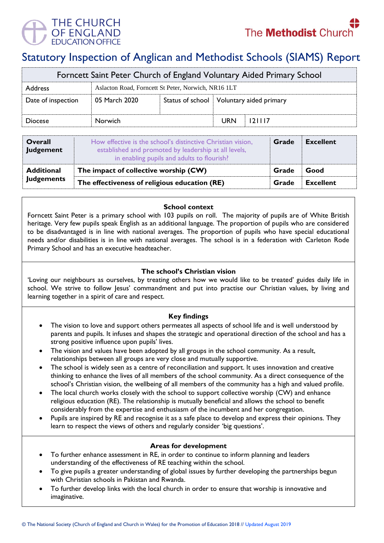

# Statutory Inspection of Anglican and Methodist Schools (SIAMS) Report

| Forncett Saint Peter Church of England Voluntary Aided Primary School |                                                     |  |                                            |        |  |  |
|-----------------------------------------------------------------------|-----------------------------------------------------|--|--------------------------------------------|--------|--|--|
| <b>Address</b>                                                        | Aslacton Road, Forncett St Peter, Norwich, NR16 1LT |  |                                            |        |  |  |
| Date of inspection                                                    | 05 March 2020                                       |  | Status of school   Voluntary aided primary |        |  |  |
| <b>Diocese</b>                                                        | <b>Norwich</b>                                      |  | <b>URN</b>                                 | 121117 |  |  |

| <b>Overall</b><br><b>Judgement</b> | How effective is the school's distinctive Christian vision,<br>established and promoted by leadership at all levels,<br>in enabling pupils and adults to flourish? | Grade | <b>Excellent</b> |
|------------------------------------|--------------------------------------------------------------------------------------------------------------------------------------------------------------------|-------|------------------|
| <b>Additional</b>                  | The impact of collective worship (CW)                                                                                                                              | Grade | Good             |
| <b>Judgements</b>                  | The effectiveness of religious education (RE)                                                                                                                      |       | Excellent        |

## **School context**

Forncett Saint Peter is a primary school with 103 pupils on roll. The majority of pupils are of White British heritage. Very few pupils speak English as an additional language. The proportion of pupils who are considered to be disadvantaged is in line with national averages. The proportion of pupils who have special educational needs and/or disabilities is in line with national averages. The school is in a federation with Carleton Rode Primary School and has an executive headteacher.

# **The school's Christian vision**

'Loving our neighbours as ourselves, by treating others how we would like to be treated' guides daily life in school. We strive to follow Jesus' commandment and put into practise our Christian values, by living and learning together in a spirit of care and respect.

#### **Key findings**

- The vision to love and support others permeates all aspects of school life and is well understood by parents and pupils. It infuses and shapes the strategic and operational direction of the school and has a strong positive influence upon pupils' lives.
- The vision and values have been adopted by all groups in the school community. As a result, relationships between all groups are very close and mutually supportive.
- The school is widely seen as a centre of reconciliation and support. It uses innovation and creative thinking to enhance the lives of all members of the school community. As a direct consequence of the school's Christian vision, the wellbeing of all members of the community has a high and valued profile.
- The local church works closely with the school to support collective worship (CW) and enhance religious education (RE). The relationship is mutually beneficial and allows the school to benefit considerably from the expertise and enthusiasm of the incumbent and her congregation.
- Pupils are inspired by RE and recognise it as a safe place to develop and express their opinions. They learn to respect the views of others and regularly consider 'big questions'.

#### **Areas for development**

- To further enhance assessment in RE, in order to continue to inform planning and leaders understanding of the effectiveness of RE teaching within the school.
- To give pupils a greater understanding of global issues by further developing the partnerships begun with Christian schools in Pakistan and Rwanda.
- To further develop links with the local church in order to ensure that worship is innovative and imaginative.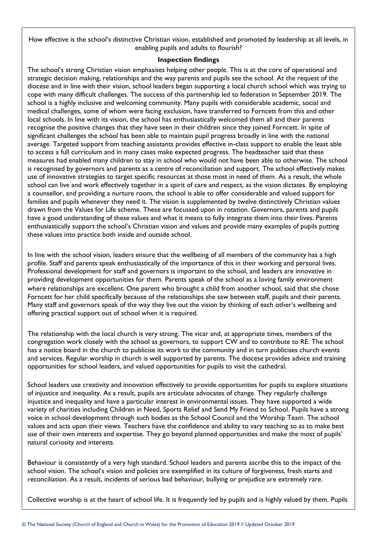How effective is the school's distinctive Christian vision, established and promoted by leadership at all levels, in enabling pupils and adults to flourish?

## **Inspection findings**

The school's strong Christian vision emphasises helping other people. This is at the core of operational and strategic decision making, relationships and the way parents and pupils see the school. At the request of the diocese and in line with their vision, school leaders began supporting a local church school which was trying to cope with many difficult challenges. The success of this partnership led to federation in September 2019. The school is a highly inclusive and welcoming community. Many pupils with considerable academic, social and medical challenges, some of whom were facing exclusion, have transferred to Forncett from this and other local schools. In line with its vision, the school has enthusiastically welcomed them all and their parents recognise the positive changes that they have seen in their children since they joined Forncett. In spite of significant challenges the school has been able to maintain pupil progress broadly in line with the national average. Targeted support from teaching assistants provides effective in-class support to enable the least able to access a full curriculum and in many cases make expected progress. The headteacher said that these measures had enabled many children to stay in school who would not have been able to otherwise. The school is recognised by governors and parents as a centre of reconciliation and support. The school effectively makes use of innovative strategies to target specific resources at those most in need of them. As a result, the whole school can live and work effectively together in a spirit of care and respect, as the vision dictates. By employing a counsellor, and providing a nurture room, the school is able to offer considerable and valued support for families and pupils whenever they need it. The vision is supplemented by twelve distinctively Christian values drawn from the Values for Life scheme. These are focussed upon in rotation. Governors, parents and pupils have a good understanding of these values and what it means to fully integrate them into their lives. Parents enthusiastically support the school's Christian vision and values and provide many examples of pupils putting these values into practice both inside and outside school.

In line with the school vision, leaders ensure that the wellbeing of all members of the community has a high profile. Staff and parents speak enthusiastically of the importance of this in their working and personal lives. Professional development for staff and governors is important to the school, and leaders are innovative in providing development opportunities for them. Parents speak of the school as a loving family environment where relationships are excellent. One parent who brought a child from another school, said that she chose Forncett for her child specifically because of the relationships she saw between staff, pupils and their parents. Many staff and governors speak of the way they live out the vision by thinking of each other's wellbeing and offering practical support out of school when it is required.

The relationship with the local church is very strong. The vicar and, at appropriate times, members of the congregation work closely with the school as governors, to support CW and to contribute to RE. The school has a notice board in the church to publicise its work to the community and in turn publicises church events and services. Regular worship in church is well supported by parents. The diocese provides advice and training opportunities for school leaders, and valued opportunities for pupils to visit the cathedral.

School leaders use creativity and innovation effectively to provide opportunities for pupils to explore situations of injustice and inequality. As a result, pupils are articulate advocates of change. They regularly challenge injustice and inequality and have a particular interest in environmental issues. They have supported a wide variety of charities including Children in Need, Sports Relief and Send My Friend to School. Pupils have a strong voice in school development through such bodies as the School Council and the Worship Team. The school values and acts upon their views. Teachers have the confidence and ability to vary teaching so as to make best use of their own interests and expertise. They go beyond planned opportunities and make the most of pupils' natural curiosity and interests.

Behaviour is consistently of a very high standard. School leaders and parents ascribe this to the impact of the school vision. The school's vision and policies are exemplified in its culture of forgiveness, fresh starts and reconciliation. As a result, incidents of serious bad behaviour, bullying or prejudice are extremely rare.

Collective worship is at the heart of school life. It is frequently led by pupils and is highly valued by them. Pupils